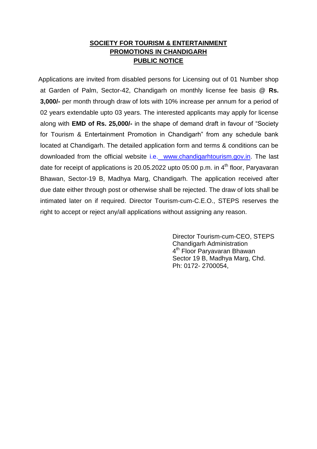## **SOCIETY FOR TOURISM & ENTERTAINMENT PROMOTIONS IN CHANDIGARH PUBLIC NOTICE**

Applications are invited from disabled persons for Licensing out of 01 Number shop at Garden of Palm, Sector-42, Chandigarh on monthly license fee basis @ **Rs. 3,000/-** per month through draw of lots with 10% increase per annum for a period of 02 years extendable upto 03 years. The interested applicants may apply for license along with **EMD of Rs. 25,000/-** in the shape of demand draft in favour of "Society for Tourism & Entertainment Promotion in Chandigarh" from any schedule bank located at Chandigarh. The detailed application form and terms & conditions can be downloaded from the official website i.e. www.chandigarhtourism.gov.in. The last date for receipt of applications is 20.05.2022 upto 05:00 p.m. in  $4<sup>th</sup>$  floor, Paryavaran Bhawan, Sector-19 B, Madhya Marg, Chandigarh. The application received after due date either through post or otherwise shall be rejected. The draw of lots shall be intimated later on if required. Director Tourism-cum-C.E.O., STEPS reserves the right to accept or reject any/all applications without assigning any reason.

> Director Tourism-cum-CEO, STEPS Chandigarh Administration 4 th Floor Paryavaran Bhawan Sector 19 B, Madhya Marg, Chd. Ph: 0172- 2700054,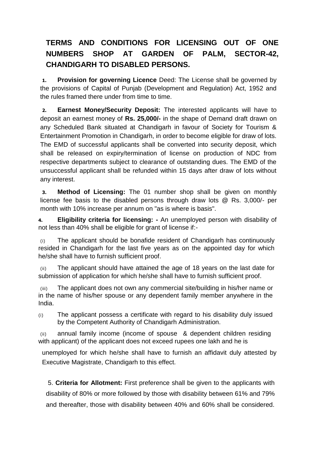# **TERMS AND CONDITIONS FOR LICENSING OUT OF ONE NUMBERS SHOP AT GARDEN OF PALM, SECTOR-42, CHANDIGARH TO DISABLED PERSONS.**

**1. Provision for governing Licence** Deed: The License shall be governed by the provisions of Capital of Punjab (Development and Regulation) Act, 1952 and the rules framed there under from time to time.

**2. Earnest Money/Security Deposit:** The interested applicants will have to deposit an earnest money of **Rs. 25,000/-** in the shape of Demand draft drawn on any Scheduled Bank situated at Chandigarh in favour of Society for Tourism & Entertainment Promotion in Chandigarh, in order to become eligible for draw of lots. The EMD of successful applicants shall be converted into security deposit, which shall be released on expiry/termination of license on production of NDC from respective departments subject to clearance of outstanding dues. The EMD of the unsuccessful applicant shall be refunded within 15 days after draw of lots without any interest.

**3. Method of Licensing:** The 01 number shop shall be given on monthly license fee basis to the disabled persons through draw lots @ Rs. 3,000/- per month with 10% increase per annum on "as is where is basis".

**4. Eligibility criteria for licensing: -** An unemployed person with disability of not less than 40% shall be eligible for grant of license if:-

(i) The applicant should be bonafide resident of Chandigarh has continuously resided in Chandigarh for the last five years as on the appointed day for which he/she shall have to furnish sufficient proof.

(ii) The applicant should have attained the age of 18 years on the last date for submission of application for which he/she shall have to furnish sufficient proof.

(iii) The applicant does not own any commercial site/building in his/her name or in the name of his/her spouse or any dependent family member anywhere in the India.

(i) The applicant possess a certificate with regard to his disability duly issued by the Competent Authority of Chandigarh Administration.

(ii) annual family income (income of spouse & dependent children residing with applicant) of the applicant does not exceed rupees one lakh and he is

unemployed for which he/she shall have to furnish an affidavit duly attested by Executive Magistrate, Chandigarh to this effect.

5. **Criteria for Allotment:** First preference shall be given to the applicants with disability of 80% or more followed by those with disability between 61% and 79% and thereafter, those with disability between 40% and 60% shall be considered.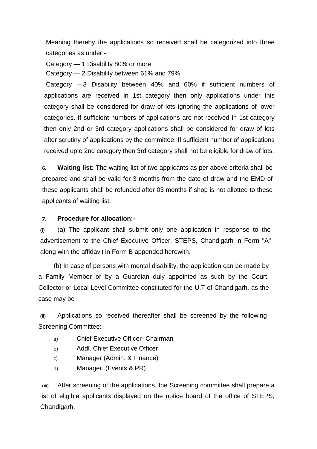Meaning thereby the applications so received shall be categorized into three categories as under:-

Category — 1 Disability 80% or more

Category — 2 Disability between 61% and 79%

Category —3 Disability between 40% and 60% if sufficient numbers of applications are received in 1st category then only applications under this category shall be considered for draw of lots ignoring the applications of lower categories. If sufficient numbers of applications are not received in 1st category then only 2nd or 3rd category applications shall be considered for draw of lots after scrutiny of applications by the committee. If sufficient number of applications received upto 2nd category then 3rd category shall not be eligible for draw of lots.

**6. Waiting list:** The waiting list of two applicants as per above criteria shall be prepared and shall be valid for 3 months from the date of draw and the EMD of these applicants shall be refunded after 03 months if shop is not allotted to these applicants of waiting list.

#### **7. Procedure for allocation:-**

(i) (a) The applicant shall submit only one application in response to the advertisement to the Chief Executive Officer, STEPS, Chandigarh in Form "A" along with the affidavit in Form B appended herewith.

(b) In case of persons with mental disability, the application can be made by a Family Member or by a Guardian duly appointed as such by the Court, Collector or Local Level Committee constituted for the U.T of Chandigarh, as the case may be

(ii) Applications so received thereafter shall be screened by the following Screening Committee:-

- a) Chief Executive Officer- Chairman
- b) Addl. Chief Executive Officer
- c) Manager (Admin. & Finance)
- d) Manager. (Events & PR)

(iii) After screening of the applications, the Screening committee shall prepare a list of eligible applicants displayed on the notice board of the office of STEPS, Chandigarh.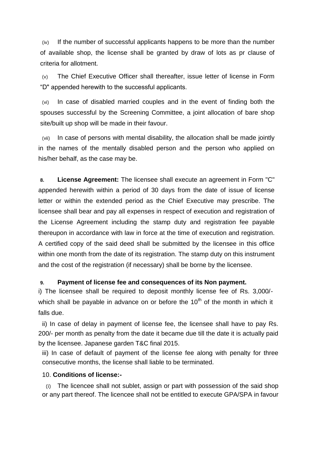(iv) If the number of successful applicants happens to be more than the number of available shop, the license shall be granted by draw of lots as pr clause of criteria for allotment.

(v) The Chief Executive Officer shall thereafter, issue letter of license in Form "D" appended herewith to the successful applicants.

(vi) In case of disabled married couples and in the event of finding both the spouses successful by the Screening Committee, a joint allocation of bare shop site/built up shop will be made in their favour.

(vii) In case of persons with mental disability, the allocation shall be made jointly in the names of the mentally disabled person and the person who applied on his/her behalf, as the case may be.

**8. License Agreement:** The licensee shall execute an agreement in Form "C" appended herewith within a period of 30 days from the date of issue of license letter or within the extended period as the Chief Executive may prescribe. The licensee shall bear and pay all expenses in respect of execution and registration of the License Agreement including the stamp duty and registration fee payable thereupon in accordance with law in force at the time of execution and registration. A certified copy of the said deed shall be submitted by the licensee in this office within one month from the date of its registration. The stamp duty on this instrument and the cost of the registration (if necessary) shall be borne by the licensee.

#### **9. Payment of license fee and consequences of its Non payment.**

i) The licensee shall be required to deposit monthly license fee of Rs. 3,000/ which shall be payable in advance on or before the  $10<sup>th</sup>$  of the month in which it falls due.

ii) In case of delay in payment of license fee, the licensee shall have to pay Rs. 200/- per month as penalty from the date it became due till the date it is actually paid by the licensee. Japanese garden T&C final 2015.

iii) In case of default of payment of the license fee along with penalty for three consecutive months, the license shall liable to be terminated.

#### 10. **Conditions of license:-**

(i) The licencee shall not sublet, assign or part with possession of the said shop or any part thereof. The licencee shall not be entitled to execute GPA/SPA in favour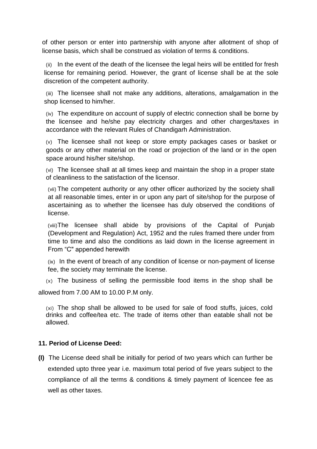of other person or enter into partnership with anyone after allotment of shop of license basis, which shall be construed as violation of terms & conditions.

(ii) In the event of the death of the licensee the legal heirs will be entitled for fresh license for remaining period. However, the grant of license shall be at the sole discretion of the competent authority.

(iii) The licensee shall not make any additions, alterations, amalgamation in the shop licensed to him/her.

(iv) The expenditure on account of supply of electric connection shall be borne by the licensee and he/she pay electricity charges and other charges/taxes in accordance with the relevant Rules of Chandigarh Administration.

(v) The licensee shall not keep or store empty packages cases or basket or goods or any other material on the road or projection of the land or in the open space around his/her site/shop.

(vi) The licensee shall at all times keep and maintain the shop in a proper state of cleanliness to the satisfaction of the licensor.

(vii) The competent authority or any other officer authorized by the society shall at all reasonable times, enter in or upon any part of site/shop for the purpose of ascertaining as to whether the licensee has duly observed the conditions of license.

(viii)The licensee shall abide by provisions of the Capital of Punjab (Development and Regulation) Act, 1952 and the rules framed there under from time to time and also the conditions as laid down in the license agreement in From "C" appended herewith

(ix) In the event of breach of any condition of license or non-payment of license fee, the society may terminate the license.

(x) The business of selling the permissible food items in the shop shall be allowed from 7.00 AM to 10.00 P.M only.

(xi) The shop shall be allowed to be used for sale of food stuffs, juices, cold drinks and coffee/tea etc. The trade of items other than eatable shall not be allowed.

#### **11. Period of License Deed:**

**(I)** The License deed shall be initially for period of two years which can further be extended upto three year i.e. maximum total period of five years subject to the compliance of all the terms & conditions & timely payment of licencee fee as well as other taxes.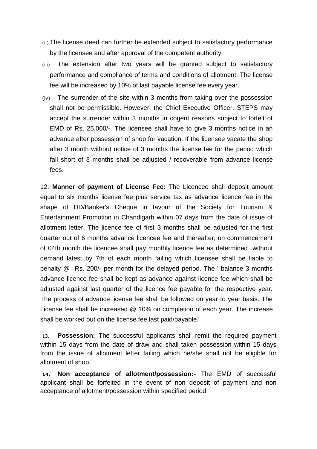- (ii) The license deed can further be extended subject to satisfactory performance by the licensee and after approval of the competent authority.
- (iii) The extension after two years will be granted subject to satisfactory performance and compliance of terms and conditions of allotment. The license fee will be increased by 10% of last payable license fee every year.
- (iv) The surrender of the site within 3 months from taking over the possession shall not be permissible. However, the Chief Executive Officer, STEPS may accept the surrender within 3 months in cogent reasons subject to forfeit of EMD of Rs. 25,000/-. The licensee shall have to give 3 months notice in an advance after possession of shop for vacation. If the licensee vacate the shop after 3 month without notice of 3 months the license fee for the period which fall short of 3 months shall be adjusted / recoverable from advance license fees.

12. **Manner of payment of License Fee:** The Licencee shall deposit amount equal to six months license fee plus service tax as advance licence fee in the shape of DD/Banker's Cheque in favour of the Society for Tourism & Entertainment Promotion in Chandigarh within 07 days from the date of issue of allotment letter. The licence fee of first 3 months shall be adjusted for the first quarter out of 6 months advance licencee fee and thereafter, on commencement of 04th month the licencee shall pay monthly licence fee as determined without demand latest by 7th of each month failing which licensee shall be liable to penalty @ Rs. 200/- per month for the delayed period. The ' balance 3 months advance licence fee shall be kept as advance against licence fee which shall be adjusted against last quarter of the licence fee payable for the respective year. The process of advance license fee shall be followed on year to year basis. The License fee shall be increased @ 10% on completion of each year. The increase shall be worked out on the license fee last paid/payable.

13. **Possession:** The successful applicants shall remit the required payment within 15 days from the date of draw and shall taken possession within 15 days from the issue of allotment letter failing which he/she shall not be eligible for allotment of shop.

**14. Non acceptance of allotment/possession:-** The EMD of successful applicant shall be forfeited in the event of non deposit of payment and non acceptance of allotment/possession within specified period.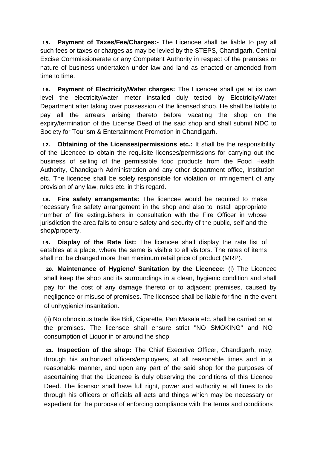**15. Payment of Taxes/Fee/Charges:-** The Licencee shall be liable to pay all such fees or taxes or charges as may be levied by the STEPS, Chandigarh, Central Excise Commissionerate or any Competent Authority in respect of the premises or nature of business undertaken under law and land as enacted or amended from time to time.

**16. Payment of Electricity/Water charges:** The Licencee shall get at its own level the electricity/water meter installed duly tested by Electricity/Water Department after taking over possession of the licensed shop. He shall be liable to pay all the arrears arising thereto before vacating the shop on the expiry/termination of the License Deed of the said shop and shall submit NDC to Society for Tourism & Entertainment Promotion in Chandigarh.

**17. Obtaining of the Licenses/permissions etc.:** It shall be the responsibility of the Licencee to obtain the requisite licenses/permissions for carrying out the business of selling of the permissible food products from the Food Health Authority, Chandigarh Administration and any other department office, Institution etc. The licencee shall be solely responsible for violation or infringement of any provision of any law, rules etc. in this regard.

**18. Fire safety arrangements:** The licencee would be required to make necessary fire safety arrangement in the shop and also to install appropriate number of fire extinguishers in consultation with the Fire Officer in whose jurisdiction the area falls to ensure safety and security of the public, self and the shop/property.

**19. Display of the Rate list:** The licencee shall display the rate list of eatables at a place, where the same is visible to all visitors. The rates of items shall not be changed more than maximum retail price of product (MRP).

**20. Maintenance of Hygiene/ Sanitation by the Licencee:** (i) The Licencee shall keep the shop and its surroundings in a clean, hygienic condition and shall pay for the cost of any damage thereto or to adjacent premises, caused by negligence or misuse of premises. The licensee shall be liable for fine in the event of unhygienic/ insanitation.

(ii) No obnoxious trade like Bidi, Cigarette, Pan Masala etc. shall be carried on at the premises. The licensee shall ensure strict "NO SMOKING" and NO consumption of Liquor in or around the shop.

**21. Inspection of the shop:** The Chief Executive Officer, Chandigarh, may, through his authorized officers/employees, at all reasonable times and in a reasonable manner, and upon any part of the said shop for the purposes of ascertaining that the Licencee is duly observing the conditions of this Licence Deed. The licensor shall have full right, power and authority at all times to do through his officers or officials all acts and things which may be necessary or expedient for the purpose of enforcing compliance with the terms and conditions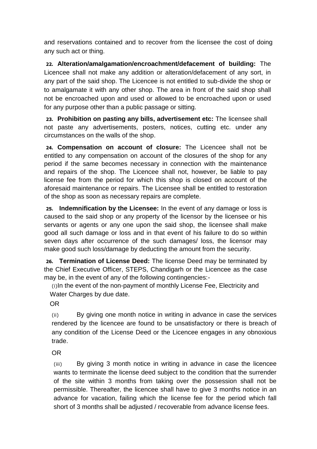and reservations contained and to recover from the licensee the cost of doing any such act or thing.

**22. Alteration/amalgamation/encroachment/defacement of building:** The Licencee shall not make any addition or alteration/defacement of any sort, in any part of the said shop. The Licencee is not entitled to sub-divide the shop or to amalgamate it with any other shop. The area in front of the said shop shall not be encroached upon and used or allowed to be encroached upon or used for any purpose other than a public passage or sitting.

**23. Prohibition on pasting any bills, advertisement etc:** The licensee shall not paste any advertisements, posters, notices, cutting etc. under any circumstances on the walls of the shop.

**24. Compensation on account of closure:** The Licencee shall not be entitled to any compensation on account of the closures of the shop for any period if the same becomes necessary in connection with the maintenance and repairs of the shop. The Licencee shall not, however, be liable to pay license fee from the period for which this shop is closed on account of the aforesaid maintenance or repairs. The Licensee shall be entitled to restoration of the shop as soon as necessary repairs are complete.

**25. Indemnification by the Licensee:** In the event of any damage or loss is caused to the said shop or any property of the licensor by the licensee or his servants or agents or any one upon the said shop, the licensee shall make good all such damage or loss and in that event of his failure to do so within seven days after occurrence of the such damages/ loss, the licensor may make good such loss/damage by deducting the amount from the security.

**26. Termination of License Deed:** The license Deed may be terminated by the Chief Executive Officer, STEPS, Chandigarh or the Licencee as the case may be, in the event of any of the following contingencies:-

(i)In the event of the non-payment of monthly License Fee, Electricity and Water Charges by due date.

OR

(ii) By giving one month notice in writing in advance in case the services rendered by the licencee are found to be unsatisfactory or there is breach of any condition of the License Deed or the Licencee engages in any obnoxious trade.

OR

(iii) By giving 3 month notice in writing in advance in case the licencee wants to terminate the license deed subject to the condition that the surrender of the site within 3 months from taking over the possession shall not be permissible. Thereafter, the licencee shall have to give 3 months notice in an advance for vacation, failing which the license fee for the period which fall short of 3 months shall be adjusted / recoverable from advance license fees.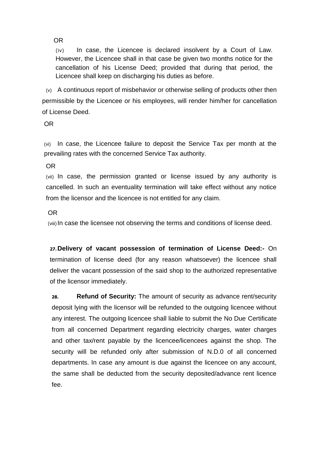OR

(iv) In case, the Licencee is declared insolvent by a Court of Law. However, the Licencee shall in that case be given two months notice for the cancellation of his License Deed; provided that during that period, the Licencee shall keep on discharging his duties as before.

(v) A continuous report of misbehavior or otherwise selling of products other then permissible by the Licencee or his employees, will render him/her for cancellation of License Deed.

OR

(vi) In case, the Licencee failure to deposit the Service Tax per month at the prevailing rates with the concerned Service Tax authority.

OR

(vii) In case, the permission granted or license issued by any authority is cancelled. In such an eventuality termination will take effect without any notice from the licensor and the licencee is not entitled for any claim.

#### OR

(viii)In case the licensee not observing the terms and conditions of license deed.

**27.Delivery of vacant possession of termination of License Deed:-** On termination of license deed (for any reason whatsoever) the licencee shall deliver the vacant possession of the said shop to the authorized representative of the licensor immediately.

**28. Refund of Security:** The amount of security as advance rent/security deposit lying with the licensor will be refunded to the outgoing licencee without any interest. The outgoing licencee shall liable to submit the No Due Certificate from all concerned Department regarding electricity charges, water charges and other tax/rent payable by the licencee/licencees against the shop. The security will be refunded only after submission of N.D.0 of all concerned departments. In case any amount is due against the licencee on any account, the same shall be deducted from the security deposited/advance rent licence fee.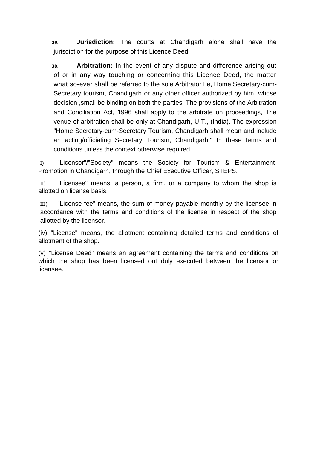**29. Jurisdiction:** The courts at Chandigarh alone shall have the jurisdiction for the purpose of this Licence Deed.

**30. Arbitration:** In the event of any dispute and difference arising out of or in any way touching or concerning this Licence Deed, the matter what so-ever shall be referred to the sole Arbitrator Le, Home Secretary-cum-Secretary tourism, Chandigarh or any other officer authorized by him, whose decision ,small be binding on both the parties. The provisions of the Arbitration and Conciliation Act, 1996 shall apply to the arbitrate on proceedings, The venue of arbitration shall be only at Chandigarh, U.T., (India). The expression "Home Secretary-cum-Secretary Tourism, Chandigarh shall mean and include an acting/officiating Secretary Tourism, Chandigarh." In these terms and conditions unless the context otherwise required.

I) "Licensor"/"Society" means the Society for Tourism & Entertainment Promotion in Chandigarh, through the Chief Executive Officer, STEPS.

II) "Licensee" means, a person, a firm, or a company to whom the shop is allotted on license basis.

III) "License fee" means, the sum of money payable monthly by the licensee in accordance with the terms and conditions of the license in respect of the shop allotted by the licensor.

(iv) "License" means, the allotment containing detailed terms and conditions of allotment of the shop.

(v) "License Deed" means an agreement containing the terms and conditions on which the shop has been licensed out duly executed between the licensor or licensee.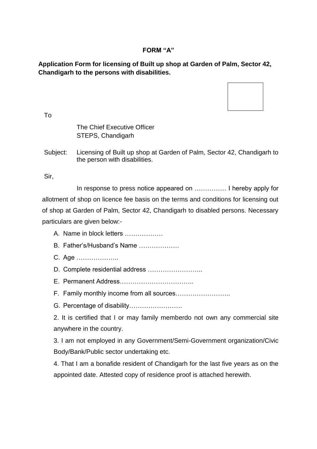### **FORM "A"**

## **Application Form for licensing of Built up shop at Garden of Palm, Sector 42, Chandigarh to the persons with disabilities.**



To

## The Chief Executive Officer STEPS, Chandigarh

Subiect: Licensing of Built up shop at Garden of Palm, Sector 42, Chandigarh to the person with disabilities.

Sir,

In response to press notice appeared on …………… I hereby apply for allotment of shop on licence fee basis on the terms and conditions for licensing out of shop at Garden of Palm, Sector 42, Chandigarh to disabled persons. Necessary particulars are given below:-

- A. Name in block letters ………………
- B. Father's/Husband's Name ……………….
- C. Age ………………..
- D. Complete residential address ……………………..
- E. Permanent Address……………………………..
- F. Family monthly income from all sources……………………..
- G. Percentage of disability…………………….

2. It is certified that I or may family memberdo not own any commercial site anywhere in the country.

3. I am not employed in any Government/Semi-Government organization/Civic Body/Bank/Public sector undertaking etc.

4. That I am a bonafide resident of Chandigarh for the last five years as on the appointed date. Attested copy of residence proof is attached herewith.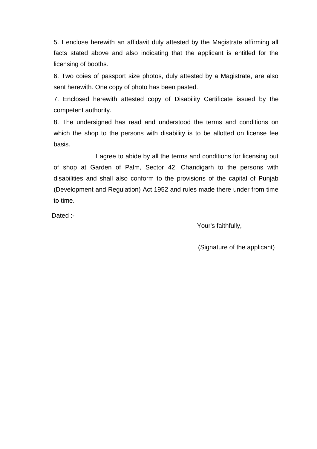5. I enclose herewith an affidavit duly attested by the Magistrate affirming all facts stated above and also indicating that the applicant is entitled for the licensing of booths.

6. Two coies of passport size photos, duly attested by a Magistrate, are also sent herewith. One copy of photo has been pasted.

7. Enclosed herewith attested copy of Disability Certificate issued by the competent authority.

8. The undersigned has read and understood the terms and conditions on which the shop to the persons with disability is to be allotted on license fee basis.

I agree to abide by all the terms and conditions for licensing out of shop at Garden of Palm, Sector 42, Chandigarh to the persons with disabilities and shall also conform to the provisions of the capital of Punjab (Development and Regulation) Act 1952 and rules made there under from time to time.

Dated :-

Your's faithfully,

(Signature of the applicant)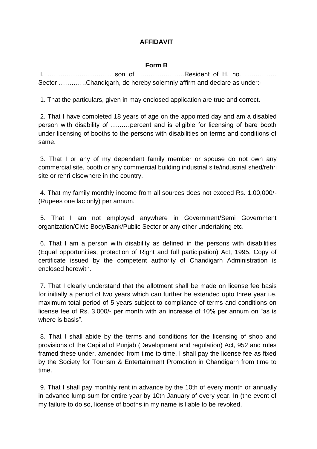## **AFFIDAVIT**

### **Form B**

I, ………………………… son of ………………….Resident of H. no. …………… Sector ............Chandigarh, do hereby solemnly affirm and declare as under:-

1. That the particulars, given in may enclosed application are true and correct.

2. That I have completed 18 years of age on the appointed day and am a disabled person with disability of ………percent and is eligible for licensing of bare booth under licensing of booths to the persons with disabilities on terms and conditions of same.

3. That I or any of my dependent family member or spouse do not own any commercial site, booth or any commercial building industrial site/industrial shed/rehri site or rehri elsewhere in the country.

4. That my family monthly income from all sources does not exceed Rs. 1,00,000/- (Rupees one lac only) per annum.

5. That I am not employed anywhere in Government/Semi Government organization/Civic Body/Bank/Public Sector or any other undertaking etc.

6. That I am a person with disability as defined in the persons with disabilities (Equal opportunities, protection of Right and full participation) Act, 1995. Copy of certificate issued by the competent authority of Chandigarh Administration is enclosed herewith.

7. That I clearly understand that the allotment shall be made on license fee basis for initially a period of two years which can further be extended upto three year i.e. maximum total period of 5 years subject to compliance of terms and conditions on license fee of Rs. 3,000/- per month with an increase of 10% per annum on "as is where is basis"

8. That I shall abide by the terms and conditions for the licensing of shop and provisions of the Capital of Punjab (Development and regulation) Act, 952 and rules framed these under, amended from time to time. I shall pay the license fee as fixed by the Society for Tourism & Entertainment Promotion in Chandigarh from time to time.

9. That I shall pay monthly rent in advance by the 10th of every month or annually in advance lump-sum for entire year by 10th January of every year. In (the event of my failure to do so, license of booths in my name is liable to be revoked.